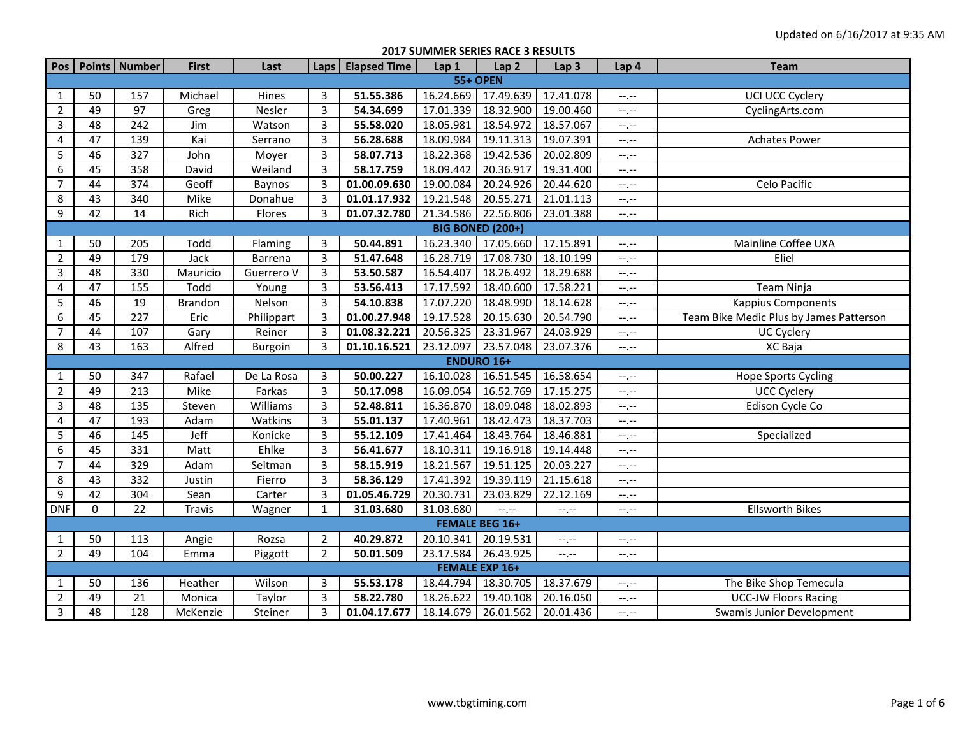**2017 SUMMER SERIES RACE 3 RESULTS**

| Pos              |                         | Points   Number | <b>First</b>   | Last           | Laps           | <b>Elapsed Time</b> | Lap1      | Lap <sub>2</sub>       | Lap <sub>3</sub>            | Lap 4                         | <b>Team</b>                             |  |  |  |
|------------------|-------------------------|-----------------|----------------|----------------|----------------|---------------------|-----------|------------------------|-----------------------------|-------------------------------|-----------------------------------------|--|--|--|
|                  |                         |                 |                |                |                |                     |           | <b>55+ OPEN</b>        |                             |                               |                                         |  |  |  |
| $\mathbf{1}$     | 50                      | 157             | Michael        | Hines          | 3              | 51.55.386           | 16.24.669 | 17.49.639              | 17.41.078                   | $-1$ , $-1$                   | UCI UCC Cyclery                         |  |  |  |
| $\overline{2}$   | 49                      | 97              | Greg           | Nesler         | $\overline{3}$ | 54.34.699           | 17.01.339 | 18.32.900              | 19.00.460                   | $-1$ . $-1$                   | CyclingArts.com                         |  |  |  |
| $\mathbf{3}$     | 48                      | 242             | Jim            | Watson         | $\mathbf{3}$   | 55.58.020           | 18.05.981 | 18.54.972              | 18.57.067                   | $\leftarrow$ , $\leftarrow$   |                                         |  |  |  |
| $\overline{4}$   | 47                      | 139             | Kai            | Serrano        | $\mathbf{3}$   | 56.28.688           | 18.09.984 | 19.11.313              | 19.07.391                   | $-1, -1$                      | <b>Achates Power</b>                    |  |  |  |
| 5                | 46                      | 327             | John           | Moyer          | $\overline{3}$ | 58.07.713           | 18.22.368 | 19.42.536              | 20.02.809                   | $-1, -1$                      |                                         |  |  |  |
| $\boldsymbol{6}$ | 45                      | 358             | David          | Weiland        | 3              | 58.17.759           | 18.09.442 | 20.36.917              | 19.31.400                   | $-1, -1$                      |                                         |  |  |  |
| $\overline{7}$   | 44                      | 374             | Geoff          | Baynos         | 3              | 01.00.09.630        | 19.00.084 | 20.24.926              | 20.44.620                   | $\leftarrow$ , $\leftarrow$   | Celo Pacific                            |  |  |  |
| $\,8\,$          | 43                      | 340             | Mike           | Donahue        | 3              | 01.01.17.932        | 19.21.548 | 20.55.271              | 21.01.113                   | $-$ , $-$                     |                                         |  |  |  |
| $\overline{9}$   | 42                      | 14              | Rich           | Flores         | $\overline{3}$ | 01.07.32.780        | 21.34.586 | 22.56.806              | 23.01.388                   | $-1, -1$                      |                                         |  |  |  |
|                  | <b>BIG BONED (200+)</b> |                 |                |                |                |                     |           |                        |                             |                               |                                         |  |  |  |
| $\mathbf{1}$     | 50                      | 205             | Todd           | Flaming        | 3              | 50.44.891           | 16.23.340 | 17.05.660              | 17.15.891                   | $-1, -1$                      | Mainline Coffee UXA                     |  |  |  |
| $\overline{2}$   | 49                      | 179             | Jack           | Barrena        | $\overline{3}$ | 51.47.648           | 16.28.719 | 17.08.730              | 18.10.199                   | $-1, -1$                      | Eliel                                   |  |  |  |
| $\overline{3}$   | 48                      | 330             | Mauricio       | Guerrero V     | $\overline{3}$ | 53.50.587           | 16.54.407 | 18.26.492              | 18.29.688                   | $-1, -1$                      |                                         |  |  |  |
| $\overline{4}$   | 47                      | 155             | Todd           | Young          | $\overline{3}$ | 53.56.413           | 17.17.592 | 18.40.600              | 17.58.221                   | $-1, -1$                      | Team Ninja                              |  |  |  |
| 5                | 46                      | 19              | <b>Brandon</b> | Nelson         | $\overline{3}$ | 54.10.838           | 17.07.220 | 18.48.990              | 18.14.628                   | $\leftarrow$ , $\leftarrow$   | <b>Kappius Components</b>               |  |  |  |
| 6                | 45                      | 227             | Eric           | Philippart     | $\overline{3}$ | 01.00.27.948        | 19.17.528 | 20.15.630              | 20.54.790                   | $-1, -1$                      | Team Bike Medic Plus by James Patterson |  |  |  |
| $\overline{7}$   | 44                      | 107             | Gary           | Reiner         | $\overline{3}$ | 01.08.32.221        | 20.56.325 | 23.31.967              | 24.03.929                   | $-1, -1$                      | UC Cyclery                              |  |  |  |
| 8                | 43                      | 163             | Alfred         | <b>Burgoin</b> | 3              | 01.10.16.521        | 23.12.097 | $\overline{23.57.048}$ | 23.07.376                   | $-1$                          | XC Baja                                 |  |  |  |
|                  |                         |                 |                |                |                |                     |           | <b>ENDURO 16+</b>      |                             |                               |                                         |  |  |  |
| $\mathbf{1}$     | 50                      | 347             | Rafael         | De La Rosa     | $\mathbf{3}$   | 50.00.227           | 16.10.028 | 16.51.545              | 16.58.654                   | $-1$ . $-1$                   | Hope Sports Cycling                     |  |  |  |
| $\overline{2}$   | 49                      | 213             | Mike           | Farkas         | 3              | 50.17.098           | 16.09.054 | 16.52.769              | 17.15.275                   | $-1$ , $-1$                   | <b>UCC Cyclery</b>                      |  |  |  |
| $\overline{3}$   | 48                      | 135             | Steven         | Williams       | $\overline{3}$ | 52.48.811           | 16.36.870 | 18.09.048              | 18.02.893                   | $-1, -1$                      | Edison Cycle Co                         |  |  |  |
| 4                | 47                      | 193             | Adam           | Watkins        | 3              | 55.01.137           | 17.40.961 | 18.42.473              | 18.37.703                   | $-1, -1$                      |                                         |  |  |  |
| 5                | 46                      | 145             | Jeff           | Konicke        | 3              | 55.12.109           | 17.41.464 | 18.43.764              | 18.46.881                   | $\rightarrow$ , $\rightarrow$ | Specialized                             |  |  |  |
| 6                | 45                      | 331             | Matt           | Ehlke          | 3              | 56.41.677           | 18.10.311 | 19.16.918              | 19.14.448                   | $--, --$                      |                                         |  |  |  |
| $\overline{7}$   | 44                      | 329             | Adam           | Seitman        | $\overline{3}$ | 58.15.919           | 18.21.567 | 19.51.125              | 20.03.227                   | $-1, -1$                      |                                         |  |  |  |
| $\overline{8}$   | 43                      | 332             | Justin         | Fierro         | $\overline{3}$ | 58.36.129           | 17.41.392 | 19.39.119              | 21.15.618                   | $-1, -1$                      |                                         |  |  |  |
| $\boldsymbol{9}$ | 42                      | 304             | Sean           | Carter         | 3              | 01.05.46.729        | 20.30.731 | 23.03.829              | 22.12.169                   | $-1, -1$                      |                                         |  |  |  |
| <b>DNF</b>       | $\mathbf 0$             | 22              | Travis         | Wagner         | $\mathbf{1}$   | 31.03.680           | 31.03.680 | $-1$                   | $-1, -1$                    | $--, --$                      | <b>Ellsworth Bikes</b>                  |  |  |  |
|                  |                         |                 |                |                |                |                     |           | <b>FEMALE BEG 16+</b>  |                             |                               |                                         |  |  |  |
| $\mathbf{1}$     | 50                      | 113             | Angie          | Rozsa          | $\overline{2}$ | 40.29.872           | 20.10.341 | 20.19.531              | $-1, -1$                    | $-1, -1$                      |                                         |  |  |  |
| $\overline{2}$   | 49                      | 104             | Emma           | Piggott        | $\overline{2}$ | 50.01.509           | 23.17.584 | 26.43.925              | $\leftarrow$ , $\leftarrow$ | $-1$ , $-1$                   |                                         |  |  |  |
|                  |                         |                 |                |                |                |                     |           | <b>FEMALE EXP 16+</b>  |                             |                               |                                         |  |  |  |
| $\mathbf{1}$     | 50                      | 136             | Heather        | Wilson         | 3              | 55.53.178           | 18.44.794 | 18.30.705              | 18.37.679                   | $-1, -1$                      | The Bike Shop Temecula                  |  |  |  |
| $\overline{2}$   | 49                      | 21              | Monica         | Taylor         | 3              | 58.22.780           | 18.26.622 | 19.40.108              | 20.16.050                   | $-1, -1$                      | <b>UCC-JW Floors Racing</b>             |  |  |  |
| $\overline{3}$   | 48                      | 128             | McKenzie       | Steiner        | 3              | 01.04.17.677        | 18.14.679 | 26.01.562              | 20.01.436                   | $-1, -1$                      | Swamis Junior Development               |  |  |  |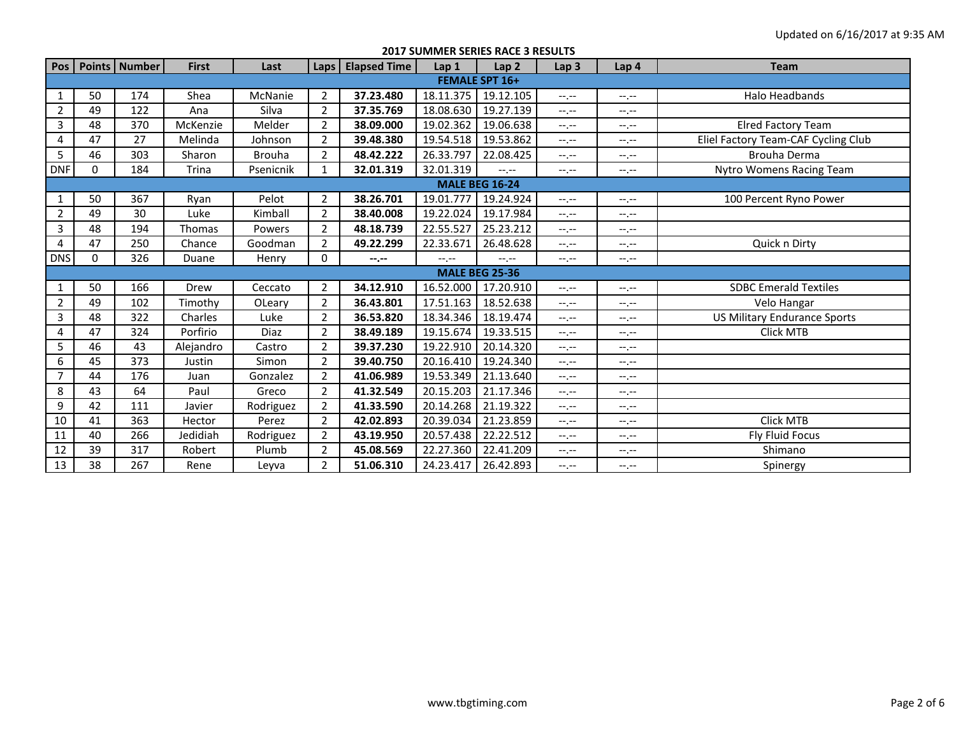**2017 SUMMER SERIES RACE 3 RESULTS**

| Pos                   |          | Points   Number | <b>First</b> | Last          | Laps I         | <b>Elapsed Time</b> | Lap <sub>1</sub> | Lap <sub>2</sub>      | Lap <sub>3</sub> | Lap <sub>4</sub> | <b>Team</b>                         |  |  |  |
|-----------------------|----------|-----------------|--------------|---------------|----------------|---------------------|------------------|-----------------------|------------------|------------------|-------------------------------------|--|--|--|
| <b>FEMALE SPT 16+</b> |          |                 |              |               |                |                     |                  |                       |                  |                  |                                     |  |  |  |
| $\mathbf{1}$          | 50       | 174             | Shea         | McNanie       | $\overline{2}$ | 37.23.480           | 18.11.375        | 19.12.105             | $-1, -1$         | $-1, -1$         | Halo Headbands                      |  |  |  |
| $\overline{2}$        | 49       | 122             | Ana          | Silva         | $\overline{2}$ | 37.35.769           | 18.08.630        | 19.27.139             | $-1$ , $-1$      | $-1, -1$         |                                     |  |  |  |
| 3                     | 48       | 370             | McKenzie     | Melder        | $\overline{2}$ | 38.09.000           | 19.02.362        | 19.06.638             | $-1$ , $-1$      | $-1$ , $-1$      | <b>Elred Factory Team</b>           |  |  |  |
| 4                     | 47       | 27              | Melinda      | Johnson       | $\overline{2}$ | 39.48.380           | 19.54.518        | 19.53.862             | $-1, -1$         | $-1, -1$         | Eliel Factory Team-CAF Cycling Club |  |  |  |
| 5                     | 46       | 303             | Sharon       | <b>Brouha</b> | $\overline{2}$ | 48.42.222           | 26.33.797        | 22.08.425             | $-1, -1$         | $-1, -1$         | Brouha Derma                        |  |  |  |
| <b>DNF</b>            | $\Omega$ | 184             | Trina        | Psenicnik     | $\mathbf{1}$   | 32.01.319           | 32.01.319        | $-1$                  | $-1$ , $-1$      | $-1, -1$         | Nytro Womens Racing Team            |  |  |  |
| <b>MALE BEG 16-24</b> |          |                 |              |               |                |                     |                  |                       |                  |                  |                                     |  |  |  |
| $\mathbf{1}$          | 50       | 367             | Ryan         | Pelot         | $\overline{2}$ | 38.26.701           | 19.01.777        | 19.24.924             | $-1, -1$         | $-1, -1$         | 100 Percent Ryno Power              |  |  |  |
| $\overline{2}$        | 49       | 30              | Luke         | Kimball       | $\overline{2}$ | 38.40.008           | 19.22.024        | 19.17.984             | $-1$ , $-1$      | $-1 - 1 - 1 = 0$ |                                     |  |  |  |
| 3                     | 48       | 194             | Thomas       | Powers        | $\overline{2}$ | 48.18.739           | 22.55.527        | 25.23.212             | $-1, -1$         | $-1, -1$         |                                     |  |  |  |
| $\overline{4}$        | 47       | 250             | Chance       | Goodman       | $\overline{2}$ | 49.22.299           | 22.33.671        | 26.48.628             | $-1, -1$         | $-1$ , $-1$      | Quick n Dirty                       |  |  |  |
| <b>DNS</b>            | $\Omega$ | 326             | Duane        | Henry         | 0              | $-1 - 1 - 1 = 0$    | $-1 - 1 - 1$     | $-1 - 1 - 1 = 0$      | $-1, -1$         | $-1, -1$         |                                     |  |  |  |
|                       |          |                 |              |               |                |                     |                  | <b>MALE BEG 25-36</b> |                  |                  |                                     |  |  |  |
| $\mathbf{1}$          | 50       | 166             | Drew         | Ceccato       | $\overline{2}$ | 34.12.910           | 16.52.000        | 17.20.910             | $-1$ , $-1$      | $-1, -1$         | <b>SDBC Emerald Textiles</b>        |  |  |  |
| $\overline{2}$        | 49       | 102             | Timothy      | OLeary        | $\overline{2}$ | 36.43.801           | 17.51.163        | 18.52.638             | $-1$ , $-1$      | $-1 - 1 - 1 = 0$ | Velo Hangar                         |  |  |  |
| 3                     | 48       | 322             | Charles      | Luke          | $\overline{2}$ | 36.53.820           | 18.34.346        | 18.19.474             | $-1, -1$         | $-1, -1$         | <b>US Military Endurance Sports</b> |  |  |  |
| 4                     | 47       | 324             | Porfirio     | Diaz          | $\overline{2}$ | 38.49.189           | 19.15.674        | 19.33.515             | $-1$ , $-1$      | --.--            | Click MTB                           |  |  |  |
| 5                     | 46       | 43              | Alejandro    | Castro        | $\overline{2}$ | 39.37.230           | 19.22.910        | 20.14.320             | $-1$ , $-1$      | $-1 - 1 - 1 = 0$ |                                     |  |  |  |
| 6                     | 45       | 373             | Justin       | Simon         | $\overline{2}$ | 39.40.750           | 20.16.410        | 19.24.340             | $-1, -1$         | $-1, -1$         |                                     |  |  |  |
| $\overline{7}$        | 44       | 176             | Juan         | Gonzalez      | $\overline{2}$ | 41.06.989           | 19.53.349        | 21.13.640             | $-1$ , $-1$      | $-1, -1$         |                                     |  |  |  |
| 8                     | 43       | 64              | Paul         | Greco         | $\overline{2}$ | 41.32.549           | 20.15.203        | 21.17.346             | $-1$ , $-1$      | $-1 - 1 - 1 = 0$ |                                     |  |  |  |
| 9                     | 42       | 111             | Javier       | Rodriguez     | $\overline{2}$ | 41.33.590           | 20.14.268        | 21.19.322             | $-1, -1$         | $-1, -1$         |                                     |  |  |  |
| 10                    | 41       | 363             | Hector       | Perez         | $\overline{2}$ | 42.02.893           | 20.39.034        | 21.23.859             | $-1$ , $-1$      | --.--            | Click MTB                           |  |  |  |
| 11                    | 40       | 266             | Jedidiah     | Rodriguez     | $\overline{2}$ | 43.19.950           | 20.57.438        | 22.22.512             | $-1$ , $-1$      | $-1 - 1 - 1 = 0$ | Fly Fluid Focus                     |  |  |  |
| 12                    | 39       | 317             | Robert       | Plumb         | $\overline{2}$ | 45.08.569           | 22.27.360        | 22.41.209             | $-1, -1$         | $-1, -1$         | Shimano                             |  |  |  |
| 13                    | 38       | 267             | Rene         | Leyva         | $\overline{2}$ | 51.06.310           | 24.23.417        | 26.42.893             | $-1$ , $-1$      | --.--            | Spinergy                            |  |  |  |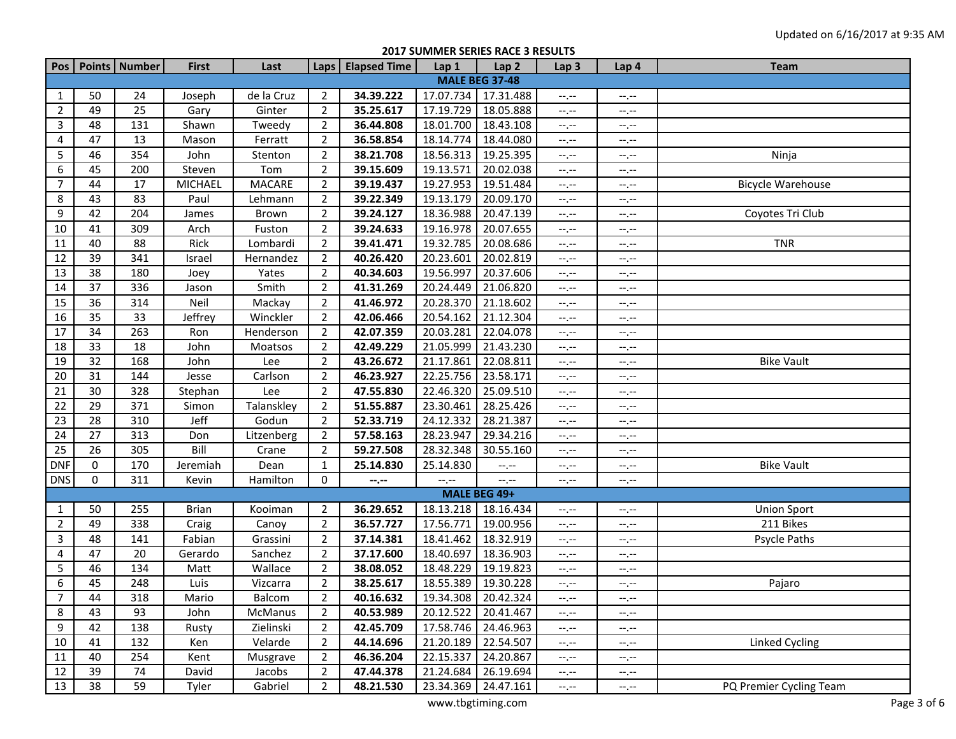## **2017 SUMMER SERIES RACE 3 RESULTS**

|                       |    | Pos   Points   Number | <b>First</b> | Last          |                | Laps Elapsed Time             | Lap 1                       | Lap <sub>2</sub> | Lap <sub>3</sub> | Lap 4       | <b>Team</b>             |  |  |
|-----------------------|----|-----------------------|--------------|---------------|----------------|-------------------------------|-----------------------------|------------------|------------------|-------------|-------------------------|--|--|
| <b>MALE BEG 37-48</b> |    |                       |              |               |                |                               |                             |                  |                  |             |                         |  |  |
| 1                     | 50 | 24                    | Joseph       | de la Cruz    | $\overline{2}$ | 34.39.222                     | 17.07.734                   | 17.31.488        | $-1$ . $-1$      | $-1, -1$    |                         |  |  |
| $\overline{2}$        | 49 | 25                    | Gary         | Ginter        | $\overline{2}$ | 35.25.617                     | 17.19.729                   | 18.05.888        | $-1$             | --.--       |                         |  |  |
| 3                     | 48 | 131                   | Shawn        | Tweedy        | $\overline{2}$ | 36.44.808                     | 18.01.700                   | 18.43.108        | $-1$             | --.--       |                         |  |  |
| 4                     | 47 | 13                    | Mason        | Ferratt       | $\overline{2}$ | 36.58.854                     | 18.14.774                   | 18.44.080        | $-1$             | --.--       |                         |  |  |
| 5                     | 46 | 354                   | John         | Stenton       | $\overline{2}$ | 38.21.708                     | 18.56.313                   | 19.25.395        | $-1, -1$         | $-1$ . $-1$ | Ninja                   |  |  |
| 6                     | 45 | 200                   | Steven       | Tom           | $\overline{2}$ | 39.15.609                     | 19.13.571                   | 20.02.038        | $-1$ , $-1$      | --.--       |                         |  |  |
| 7                     | 44 | 17                    | MICHAEL      | <b>MACARE</b> | $\overline{2}$ | 39.19.437                     | 19.27.953                   | 19.51.484        | $-1$             | $-1$ . $-1$ | Bicycle Warehouse       |  |  |
| 8                     | 43 | 83                    | Paul         | Lehmann       | $\overline{2}$ | 39.22.349                     | 19.13.179                   | 20.09.170        | $-1$             | $-1$ . $-1$ |                         |  |  |
| 9                     | 42 | 204                   | James        | Brown         | $\overline{2}$ | 39.24.127                     | 18.36.988                   | 20.47.139        | $-1$             | $-1$        | Coyotes Tri Club        |  |  |
| 10                    | 41 | 309                   | Arch         | Fuston        | $\overline{2}$ | 39.24.633                     | 19.16.978                   | 20.07.655        | $-1$             | $-1, -1$    |                         |  |  |
| 11                    | 40 | 88                    | Rick         | Lombardi      | $\overline{2}$ | 39.41.471                     | 19.32.785                   | 20.08.686        | $-1$             | $-1, -1$    | <b>TNR</b>              |  |  |
| 12                    | 39 | 341                   | Israel       | Hernandez     | $\overline{2}$ | 40.26.420                     | 20.23.601                   | 20.02.819        | $-1$             | --,--       |                         |  |  |
| 13                    | 38 | 180                   | Joey         | Yates         | $\overline{2}$ | 40.34.603                     | 19.56.997                   | 20.37.606        | $-1$             | --,--       |                         |  |  |
| 14                    | 37 | 336                   | Jason        | Smith         | $\overline{2}$ | 41.31.269                     | 20.24.449                   | 21.06.820        | $-1$             | --.--       |                         |  |  |
| 15                    | 36 | 314                   | Neil         | Mackay        | $\overline{2}$ | 41.46.972                     | 20.28.370                   | 21.18.602        | $-1$             | --.--       |                         |  |  |
| 16                    | 35 | 33                    | Jeffrey      | Winckler      | $\overline{2}$ | 42.06.466                     | 20.54.162                   | 21.12.304        | $-1$             | --.--       |                         |  |  |
| 17                    | 34 | 263                   | Ron          | Henderson     | $\overline{2}$ | 42.07.359                     | 20.03.281                   | 22.04.078        | $-1, -1$         | $-1$ . $-1$ |                         |  |  |
| 18                    | 33 | 18                    | John         | Moatsos       | $\overline{2}$ | 42.49.229                     | 21.05.999                   | 21.43.230        | $-1, -1$         | $-1$ . $-1$ |                         |  |  |
| 19                    | 32 | 168                   | John         | Lee           | $\overline{2}$ | 43.26.672                     | 21.17.861                   | 22.08.811        | $-1, -1$         | $-1, -1$    | <b>Bike Vault</b>       |  |  |
| 20                    | 31 | 144                   | Jesse        | Carlson       | $\overline{2}$ | 46.23.927                     | 22.25.756                   | 23.58.171        | $-1, -1$         | $-1, -1$    |                         |  |  |
| 21                    | 30 | 328                   | Stephan      | Lee           | $\overline{2}$ | 47.55.830                     | 22.46.320                   | 25.09.510        | $-1$ , $-1$      | $-1, -1$    |                         |  |  |
| 22                    | 29 | 371                   | Simon        | Talanskley    | $\overline{2}$ | 51.55.887                     | 23.30.461                   | 28.25.426        | $-1$             | $-1, -1$    |                         |  |  |
| 23                    | 28 | 310                   | Jeff         | Godun         | $\overline{2}$ | 52.33.719                     | 24.12.332                   | 28.21.387        | $-1, -1$         | $-1, -1$    |                         |  |  |
| 24                    | 27 | 313                   | Don          | Litzenberg    | $\overline{2}$ | 57.58.163                     | 28.23.947                   | 29.34.216        | $-1$             | $-1$ . $-1$ |                         |  |  |
| 25                    | 26 | 305                   | Bill         | Crane         | $\overline{2}$ | 59.27.508                     | 28.32.348                   | 30.55.160        | $-1$             | --,--       |                         |  |  |
| <b>DNF</b>            | 0  | 170                   | Jeremiah     | Dean          | $\mathbf{1}$   | 25.14.830                     | 25.14.830                   | $-1, -1$         | $-1$             | --,--       | <b>Bike Vault</b>       |  |  |
| <b>DNS</b>            | 0  | 311                   | Kevin        | Hamilton      | $\mathbf 0$    | $-\text{-},\text{-}-$         | $\leftarrow$ , $\leftarrow$ | $-$ , $-$        | $-1, -1$         | $-1$ . $-1$ |                         |  |  |
|                       |    |                       |              |               |                |                               |                             | MALE BEG 49+     |                  |             |                         |  |  |
| 1                     | 50 | 255                   | <b>Brian</b> | Kooiman       | $\overline{2}$ | 36.29.652                     | 18.13.218                   | 18.16.434        | $-1$ . $-1$      | --.--       | <b>Union Sport</b>      |  |  |
| $\overline{2}$        | 49 | 338                   | Craig        | Canoy         | $\overline{2}$ | 36.57.727                     | 17.56.771                   | 19.00.956        | $-1, -1$         | $-1$ . $-1$ | 211 Bikes               |  |  |
| 3                     | 48 | 141                   | Fabian       | Grassini      | $\overline{2}$ | 37.14.381                     | 18.41.462                   | 18.32.919        | $-1, -1$         | $-1$ . $-1$ | Psycle Paths            |  |  |
| 4                     | 47 | 20                    | Gerardo      | Sanchez       | $\overline{2}$ | 37.17.600                     | 18.40.697                   | 18.36.903        | $-1, -1$         | $-1$ . $-1$ |                         |  |  |
| 5                     | 46 | 134                   | Matt         | Wallace       | $\overline{2}$ | 38.08.052                     | 18.48.229                   | 19.19.823        | $-1, -1$         | $-1$ . $-1$ |                         |  |  |
| 6                     | 45 | 248                   | Luis         | Vizcarra      | $\overline{2}$ | 38.25.617                     | 18.55.389                   | 19.30.228        | $-1$             | $-1, -1$    | Pajaro                  |  |  |
| $\overline{7}$        | 44 | 318                   | Mario        | Balcom        | $\overline{2}$ | 40.16.632 19.34.308 20.42.324 |                             |                  | $-1.77$          | $-1.7 -$    |                         |  |  |
| 8                     | 43 | 93                    | John         | McManus       | $\overline{2}$ | 40.53.989                     | 20.12.522                   | 20.41.467        | $-1, -1$         | $-1$ . $-1$ |                         |  |  |
| 9                     | 42 | 138                   | Rusty        | Zielinski     | $\overline{2}$ | 42.45.709                     | 17.58.746                   | 24.46.963        | $-1, -1$         | --.--       |                         |  |  |
| 10                    | 41 | 132                   | Ken          | Velarde       | $\overline{2}$ | 44.14.696                     | 21.20.189                   | 22.54.507        | $-1, -1$         | --.--       | <b>Linked Cycling</b>   |  |  |
| 11                    | 40 | 254                   | Kent         | Musgrave      | $\overline{2}$ | 46.36.204                     | 22.15.337                   | 24.20.867        | $-1, -1$         | --.--       |                         |  |  |
| 12                    | 39 | 74                    | David        | Jacobs        | $\overline{2}$ | 47.44.378                     | 21.24.684                   | 26.19.694        | $-1.7 -$         | --.--       |                         |  |  |
| 13                    | 38 | 59                    | Tyler        | Gabriel       | $\overline{2}$ | 48.21.530                     | 23.34.369                   | 24.47.161        | $-1, -1$         | $-1, -1$    | PQ Premier Cycling Team |  |  |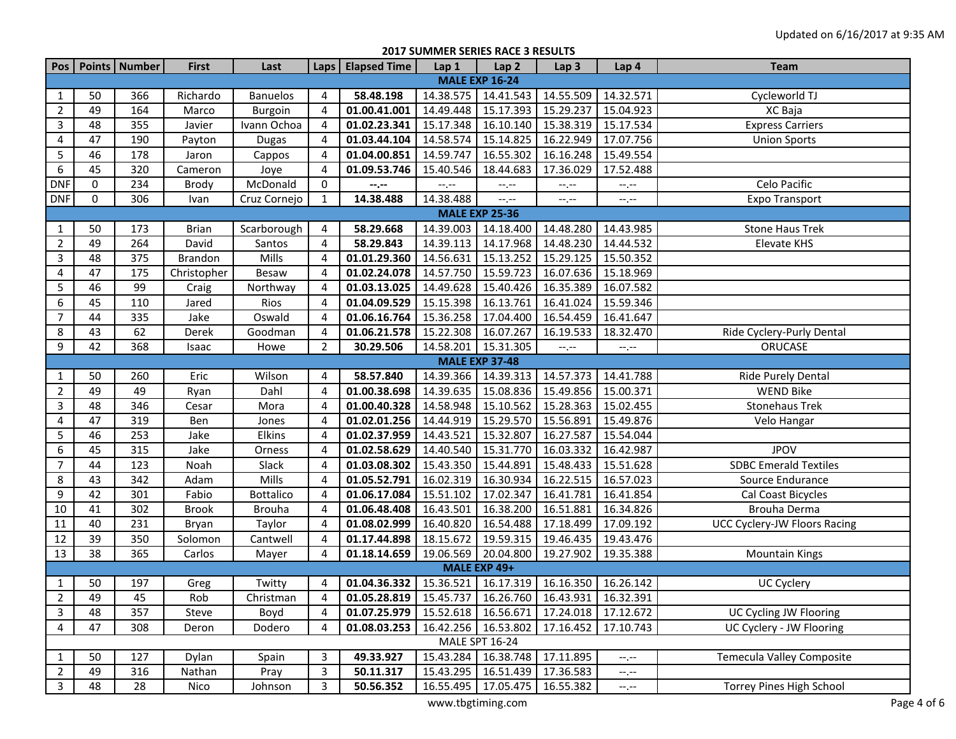**2017 SUMMER SERIES RACE 3 RESULTS**

|                       |                       | Pos Points Number | <b>First</b>   | Last             |                | Laps   Elapsed Time                                          | Lap 1     | Lap <sub>2</sub>                              | Lap <sub>3</sub> | Lap 4                       | <b>Team</b>                  |  |  |
|-----------------------|-----------------------|-------------------|----------------|------------------|----------------|--------------------------------------------------------------|-----------|-----------------------------------------------|------------------|-----------------------------|------------------------------|--|--|
| <b>MALE EXP 16-24</b> |                       |                   |                |                  |                |                                                              |           |                                               |                  |                             |                              |  |  |
| 1                     | 50                    | 366               | Richardo       | <b>Banuelos</b>  | 4              | 58.48.198                                                    | 14.38.575 | 14.41.543                                     | 14.55.509        | 14.32.571                   | Cycleworld TJ                |  |  |
| $\overline{2}$        | 49                    | 164               | Marco          | Burgoin          | 4              | 01.00.41.001                                                 | 14.49.448 | 15.17.393                                     | 15.29.237        | 15.04.923                   | XC Baja                      |  |  |
| 3                     | 48                    | 355               | Javier         | Ivann Ochoa      | 4              | 01.02.23.341                                                 | 15.17.348 | 16.10.140                                     | 15.38.319        | 15.17.534                   | <b>Express Carriers</b>      |  |  |
| 4                     | 47                    | 190               | Payton         | <b>Dugas</b>     | 4              | 01.03.44.104                                                 | 14.58.574 | 15.14.825                                     | 16.22.949        | 17.07.756                   | <b>Union Sports</b>          |  |  |
| 5                     | 46                    | 178               | Jaron          | Cappos           | 4              | 01.04.00.851                                                 | 14.59.747 | 16.55.302                                     | 16.16.248        | 15.49.554                   |                              |  |  |
| 6                     | 45                    | 320               | Cameron        | Joye             | 4              | 01.09.53.746                                                 | 15.40.546 | 18.44.683                                     | 17.36.029        | 17.52.488                   |                              |  |  |
| <b>DNF</b>            | 0                     | 234               | Brody          | McDonald         | 0              | $-2$                                                         | $-1$      | $-1, -1$                                      | --.--            | --.--                       | Celo Pacific                 |  |  |
| <b>DNF</b>            | 0                     | 306               | Ivan           | Cruz Cornejo     | $\mathbf{1}$   | 14.38.488                                                    | 14.38.488 | $-1 - 1 - 1 = 0$                              | $-1, -1$         | --.--                       | <b>Expo Transport</b>        |  |  |
|                       | <b>MALE EXP 25-36</b> |                   |                |                  |                |                                                              |           |                                               |                  |                             |                              |  |  |
| $\mathbf{1}$          | 50                    | 173               | <b>Brian</b>   | Scarborough      | 4              | 58.29.668                                                    | 14.39.003 | 14.18.400                                     | 14.48.280        | 14.43.985                   | <b>Stone Haus Trek</b>       |  |  |
| $\overline{2}$        | 49                    | 264               | David          | Santos           | 4              | 58.29.843                                                    | 14.39.113 | 14.17.968                                     | 14.48.230        | 14.44.532                   | Elevate KHS                  |  |  |
| 3                     | 48                    | 375               | <b>Brandon</b> | Mills            | 4              | 01.01.29.360                                                 | 14.56.631 | 15.13.252 15.29.125                           |                  | 15.50.352                   |                              |  |  |
| 4                     | 47                    | 175               | Christopher    | Besaw            | 4              | 01.02.24.078                                                 | 14.57.750 | 15.59.723                                     | 16.07.636        | 15.18.969                   |                              |  |  |
| 5                     | 46                    | 99                | Craig          | Northway         | 4              | 01.03.13.025                                                 | 14.49.628 | 15.40.426                                     | 16.35.389        | 16.07.582                   |                              |  |  |
| $\boldsymbol{6}$      | 45                    | 110               | Jared          | Rios             | 4              | 01.04.09.529                                                 | 15.15.398 | 16.13.761                                     | 16.41.024        | 15.59.346                   |                              |  |  |
| $\overline{7}$        | 44                    | 335               | Jake           | Oswald           | 4              | 01.06.16.764                                                 | 15.36.258 | 17.04.400                                     | 16.54.459        | 16.41.647                   |                              |  |  |
| 8                     | 43                    | 62                | Derek          | Goodman          | 4              | 01.06.21.578                                                 | 15.22.308 | 16.07.267                                     | 16.19.533        | 18.32.470                   | Ride Cyclery-Purly Dental    |  |  |
| 9                     | 42                    | 368               | Isaac          | Howe             | $\overline{2}$ | 30.29.506                                                    | 14.58.201 | 15.31.305                                     | $-1, -1$         | $\leftarrow$ , $\leftarrow$ | ORUCASE                      |  |  |
|                       |                       |                   |                |                  |                |                                                              |           | <b>MALE EXP 37-48</b>                         |                  |                             |                              |  |  |
| 1                     | 50                    | 260               | Eric           | Wilson           | 4              | 58.57.840                                                    | 14.39.366 | 14.39.313                                     | 14.57.373        | 14.41.788                   | Ride Purely Dental           |  |  |
| $\overline{2}$        | 49                    | 49                | Ryan           | Dahl             | 4              | 01.00.38.698                                                 | 14.39.635 | 15.08.836                                     | 15.49.856        | 15.00.371                   | <b>WEND Bike</b>             |  |  |
| 3                     | 48                    | 346               | Cesar          | Mora             | 4              | 01.00.40.328                                                 | 14.58.948 | 15.10.562                                     | 15.28.363        | 15.02.455                   | <b>Stonehaus Trek</b>        |  |  |
| 4                     | 47                    | 319               | Ben            | Jones            | 4              | 01.02.01.256                                                 | 14.44.919 | 15.29.570                                     | 15.56.891        | 15.49.876                   | Velo Hangar                  |  |  |
| 5                     | 46                    | 253               | Jake           | Elkins           | 4              | 01.02.37.959                                                 | 14.43.521 | 15.32.807                                     | 16.27.587        | 15.54.044                   |                              |  |  |
| 6                     | 45                    | 315               | Jake           | Orness           | 4              | 01.02.58.629                                                 | 14.40.540 | 15.31.770                                     | 16.03.332        | 16.42.987                   | <b>JPOV</b>                  |  |  |
| $\overline{7}$        | 44                    | 123               | Noah           | Slack            | 4              | 01.03.08.302                                                 | 15.43.350 | 15.44.891                                     | 15.48.433        | 15.51.628                   | <b>SDBC Emerald Textiles</b> |  |  |
| 8                     | 43                    | 342               | Adam           | Mills            | 4              | 01.05.52.791                                                 | 16.02.319 | 16.30.934                                     | 16.22.515        | 16.57.023                   | Source Endurance             |  |  |
| 9                     | 42                    | 301               | Fabio          | <b>Bottalico</b> | 4              | 01.06.17.084                                                 | 15.51.102 | 17.02.347                                     | 16.41.781        | 16.41.854                   | Cal Coast Bicycles           |  |  |
| $10\,$                | 41                    | 302               | <b>Brook</b>   | <b>Brouha</b>    | 4              | 01.06.48.408                                                 | 16.43.501 | 16.38.200                                     | 16.51.881        | 16.34.826                   | Brouha Derma                 |  |  |
| 11                    | 40                    | 231               | Bryan          | Taylor           | 4              | 01.08.02.999                                                 | 16.40.820 | 16.54.488 17.18.499                           |                  | 17.09.192                   | UCC Cyclery-JW Floors Racing |  |  |
| 12                    | 39                    | 350               | Solomon        | Cantwell         | 4              | 01.17.44.898                                                 | 18.15.672 | 19.59.315 19.46.435                           |                  | 19.43.476                   |                              |  |  |
| 13                    | 38                    | 365               | Carlos         | Mayer            | 4              | 01.18.14.659                                                 | 19.06.569 | 20.04.800 19.27.902                           |                  | 19.35.388                   | <b>Mountain Kings</b>        |  |  |
|                       |                       |                   |                |                  |                |                                                              |           | MALE EXP 49+                                  |                  |                             |                              |  |  |
| $\mathbf{1}$          | 50                    | 197               | Greg           | Twitty           | 4              | 01.04.36.332   15.36.521   16.17.319   16.16.350   16.26.142 |           |                                               |                  |                             | UC Cyclery                   |  |  |
| $2^{\circ}$           | 49                    | 45                | Rob            | Christman        | $\overline{4}$ | 01.05.28.819   15.45.737   16.26.760   16.43.931   16.32.391 |           |                                               |                  |                             |                              |  |  |
| 3                     | 48                    | 357               | Steve          | Boyd             | 4              | 01.07.25.979                                                 |           | 15.52.618   16.56.671   17.24.018   17.12.672 |                  |                             | UC Cycling JW Flooring       |  |  |
| 4                     | 47                    | 308               | Deron          | Dodero           | 4              | 01.08.03.253                                                 |           | 16.42.256   16.53.802   17.16.452   17.10.743 |                  |                             | UC Cyclery - JW Flooring     |  |  |
|                       |                       |                   |                |                  |                |                                                              |           | <b>MALE SPT 16-24</b>                         |                  |                             |                              |  |  |
| $\mathbf{1}$          | 50                    | 127               | Dylan          | Spain            | 3              | 49.33.927                                                    | 15.43.284 | 16.38.748 17.11.895                           |                  | $-1, -1$                    | Temecula Valley Composite    |  |  |
| $\overline{2}$        | 49                    | 316               | Nathan         | Pray             | 3              | 50.11.317                                                    | 15.43.295 | 16.51.439 17.36.583                           |                  | --.--                       |                              |  |  |
| $\overline{3}$        | 48                    | 28                | Nico           | Johnson          | 3              | 50.56.352                                                    | 16.55.495 | 17.05.475 16.55.382                           |                  | $-1$ , $-1$                 | Torrey Pines High School     |  |  |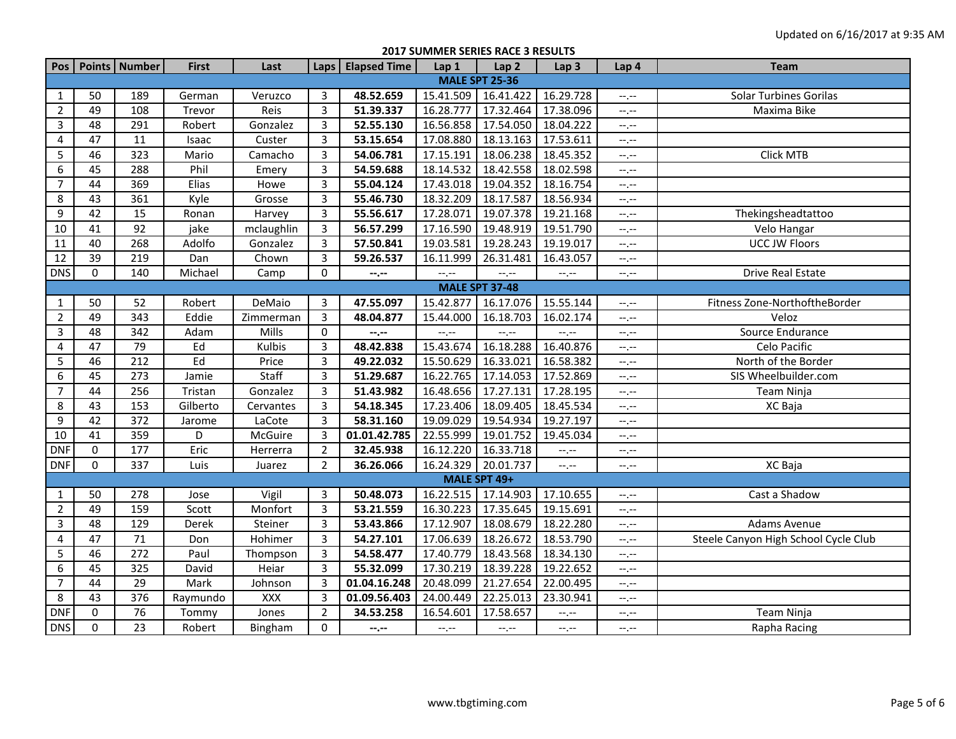**2017 SUMMER SERIES RACE 3 RESULTS**

| <b>Pos</b>       |                       | Points Number   | <b>First</b> | Last       |                         | Laps   Elapsed Time                                                                                                  | Lap 1     | Lap <sub>2</sub>      | Lap <sub>3</sub> | Lap 4                         | <b>Team</b>                          |  |  |  |
|------------------|-----------------------|-----------------|--------------|------------|-------------------------|----------------------------------------------------------------------------------------------------------------------|-----------|-----------------------|------------------|-------------------------------|--------------------------------------|--|--|--|
|                  | <b>MALE SPT 25-36</b> |                 |              |            |                         |                                                                                                                      |           |                       |                  |                               |                                      |  |  |  |
| 1                | 50                    | 189             | German       | Veruzco    | 3                       | 48.52.659                                                                                                            | 15.41.509 | 16.41.422             | 16.29.728        | $-1$ .                        | <b>Solar Turbines Gorilas</b>        |  |  |  |
| $\overline{2}$   | 49                    | 108             | Trevor       | Reis       | $\overline{3}$          | 51.39.337                                                                                                            | 16.28.777 | 17.32.464             | 17.38.096        | --,--                         | Maxima Bike                          |  |  |  |
| 3                | $\overline{48}$       | 291             | Robert       | Gonzalez   | $\overline{3}$          | 52.55.130                                                                                                            | 16.56.858 | 17.54.050             | 18.04.222        | $-1$                          |                                      |  |  |  |
| 4                | 47                    | 11              | Isaac        | Custer     | $\overline{\mathbf{3}}$ | 53.15.654                                                                                                            | 17.08.880 | 18.13.163             | 17.53.611        | --,--                         |                                      |  |  |  |
| $\sqrt{5}$       | 46                    | 323             | Mario        | Camacho    | $\overline{3}$          | 54.06.781                                                                                                            | 17.15.191 | 18.06.238             | 18.45.352        | $-1$ .                        | Click MTB                            |  |  |  |
| 6                | 45                    | 288             | Phil         | Emery      | $\overline{3}$          | 54.59.688                                                                                                            | 18.14.532 | 18.42.558             | 18.02.598        | $-1$ , $-1$                   |                                      |  |  |  |
| $\overline{7}$   | 44                    | 369             | Elias        | Howe       | 3                       | 55.04.124                                                                                                            | 17.43.018 | 19.04.352             | 18.16.754        | $-1$                          |                                      |  |  |  |
| 8                | 43                    | 361             | Kyle         | Grosse     | $\overline{3}$          | 55.46.730                                                                                                            | 18.32.209 | 18.17.587             | 18.56.934        | $-1$                          |                                      |  |  |  |
| 9                | 42                    | 15              | Ronan        | Harvey     | $\overline{3}$          | 55.56.617                                                                                                            | 17.28.071 | 19.07.378             | 19.21.168        | $-1$ , $-1$                   | Thekingsheadtattoo                   |  |  |  |
| 10               | 41                    | 92              | jake         | mclaughlin | $\mathbf{3}$            | 56.57.299                                                                                                            | 17.16.590 | 19.48.919             | 19.51.790        | --,--                         | Velo Hangar                          |  |  |  |
| 11               | 40                    | 268             | Adolfo       | Gonzalez   | $\overline{3}$          | 57.50.841                                                                                                            | 19.03.581 | 19.28.243             | 19.19.017        | $-1, -1$                      | <b>UCC JW Floors</b>                 |  |  |  |
| $\overline{12}$  | $\overline{39}$       | 219             | Dan          | Chown      | $\overline{3}$          | 59.26.537                                                                                                            | 16.11.999 | 26.31.481             | 16.43.057        | $-1$ . $-1$                   |                                      |  |  |  |
| <b>DNS</b>       | $\mathbf 0$           | 140             | Michael      | Camp       | 0                       | $\textcolor{blue}{\textbf{--}}\textcolor{blue}{\textbf{--}}\textcolor{blue}{\textbf{-}}\textcolor{blue}{\textbf{-}}$ | $-1, -1$  | $-1, -1$              | $-$ , $-$        | --.--                         | <b>Drive Real Estate</b>             |  |  |  |
|                  |                       |                 |              |            |                         |                                                                                                                      |           | <b>MALE SPT 37-48</b> |                  |                               |                                      |  |  |  |
| 1                | 50                    | 52              | Robert       | DeMaio     | 3                       | 47.55.097                                                                                                            | 15.42.877 | 16.17.076             | 15.55.144        | --.--                         | Fitness Zone-NorthoftheBorder        |  |  |  |
| $\overline{2}$   | 49                    | 343             | Eddie        | Zimmerman  | $\overline{3}$          | 48.04.877                                                                                                            | 15.44.000 | 16.18.703             | 16.02.174        | $-1$ , $-1$                   | Veloz                                |  |  |  |
| $\mathbf{3}$     | 48                    | 342             | Adam         | Mills      | $\pmb{0}$               | --,--                                                                                                                | $-1, -1$  | --.--                 | $-1$ .           | $-1$ . $-1$                   | Source Endurance                     |  |  |  |
| $\overline{4}$   | 47                    | 79              | Ed           | Kulbis     | $\overline{3}$          | 48.42.838                                                                                                            | 15.43.674 | 16.18.288             | 16.40.876        | $-1$ , $-1$                   | Celo Pacific                         |  |  |  |
| 5                | 46                    | 212             | Ed           | Price      | $\overline{3}$          | 49.22.032                                                                                                            | 15.50.629 | 16.33.021             | 16.58.382        | $\rightarrow$ , $\rightarrow$ | North of the Border                  |  |  |  |
| 6                | 45                    | 273             | Jamie        | Staff      | 3                       | 51.29.687                                                                                                            | 16.22.765 | 17.14.053             | 17.52.869        | $-1$ , $-1$                   | SIS Wheelbuilder.com                 |  |  |  |
| $\overline{7}$   | 44                    | 256             | Tristan      | Gonzalez   | $\overline{\mathbf{3}}$ | 51.43.982                                                                                                            | 16.48.656 | 17.27.131             | 17.28.195        | $-1$ .                        | <b>Team Ninja</b>                    |  |  |  |
| 8                | 43                    | 153             | Gilberto     | Cervantes  | $\overline{\mathbf{3}}$ | 54.18.345                                                                                                            | 17.23.406 | 18.09.405             | 18.45.534        | --,--                         | XC Baja                              |  |  |  |
| 9                | 42                    | 372             | Jarome       | LaCote     | $\overline{3}$          | 58.31.160                                                                                                            | 19.09.029 | 19.54.934             | 19.27.197        | --,--                         |                                      |  |  |  |
| 10               | 41                    | 359             | D            | McGuire    | $\overline{\mathbf{3}}$ | 01.01.42.785                                                                                                         | 22.55.999 | 19.01.752             | 19.45.034        | $\leftarrow$ , $\leftarrow$   |                                      |  |  |  |
| <b>DNF</b>       | $\mathbf 0$           | 177             | Eric         | Herrerra   | $\overline{2}$          | 32.45.938                                                                                                            | 16.12.220 | 16.33.718             | $-1$ , $-1$      | $-1, -1$                      |                                      |  |  |  |
| <b>DNF</b>       | $\Omega$              | 337             | Luis         | Juarez     | $\overline{2}$          | 36.26.066                                                                                                            | 16.24.329 | 20.01.737             | $-1$             | --,--                         | XC Baja                              |  |  |  |
|                  |                       |                 |              |            |                         |                                                                                                                      |           | MALE SPT 49+          |                  |                               |                                      |  |  |  |
| $\mathbf{1}$     | 50                    | 278             | Jose         | Vigil      | 3                       | 50.48.073                                                                                                            | 16.22.515 | 17.14.903             | 17.10.655        | --,--                         | Cast a Shadow                        |  |  |  |
| $\overline{2}$   | 49                    | 159             | Scott        | Monfort    | $\overline{3}$          | 53.21.559                                                                                                            | 16.30.223 | 17.35.645             | 19.15.691        | $-1$ .                        |                                      |  |  |  |
| 3                | 48                    | 129             | Derek        | Steiner    | $\overline{3}$          | 53.43.866                                                                                                            | 17.12.907 | 18.08.679             | 18.22.280        | $-1$ .                        | Adams Avenue                         |  |  |  |
| 4                | 47                    | $71\,$          | Don          | Hohimer    | $\overline{3}$          | 54.27.101                                                                                                            | 17.06.639 | 18.26.672             | 18.53.790        | $-1$                          | Steele Canyon High School Cycle Club |  |  |  |
| 5                | 46                    | 272             | Paul         | Thompson   | $\overline{\mathbf{3}}$ | 54.58.477                                                                                                            | 17.40.779 | 18.43.568             | 18.34.130        | $-1, -1$                      |                                      |  |  |  |
| $\boldsymbol{6}$ | 45                    | 325             | David        | Heiar      | $\overline{3}$          | 55.32.099                                                                                                            | 17.30.219 | 18.39.228             | 19.22.652        | --.--                         |                                      |  |  |  |
| $\overline{7}$   | 44                    | 29              | Mark         | Johnson    | $\overline{3}$          | 01.04.16.248                                                                                                         | 20.48.099 | 21.27.654             | 22.00.495        | --,--                         |                                      |  |  |  |
| 8                | 43                    | 376             | Raymundo     | <b>XXX</b> | 3                       | 01.09.56.403                                                                                                         | 24.00.449 | 22.25.013             | 23.30.941        | --,--                         |                                      |  |  |  |
| <b>DNF</b>       | $\mathbf 0$           | 76              | Tommy        | Jones      | $\overline{2}$          | 34.53.258                                                                                                            | 16.54.601 | 17.58.657             | --,--            | --.--                         | Team Ninja                           |  |  |  |
| <b>DNS</b>       | $\mathbf 0$           | $\overline{23}$ | Robert       | Bingham    | $\mathbf 0$             | $-1$                                                                                                                 | $-1, -1$  | $-1, -1$              | $-1$             | $-1$ , $-1$                   | Rapha Racing                         |  |  |  |